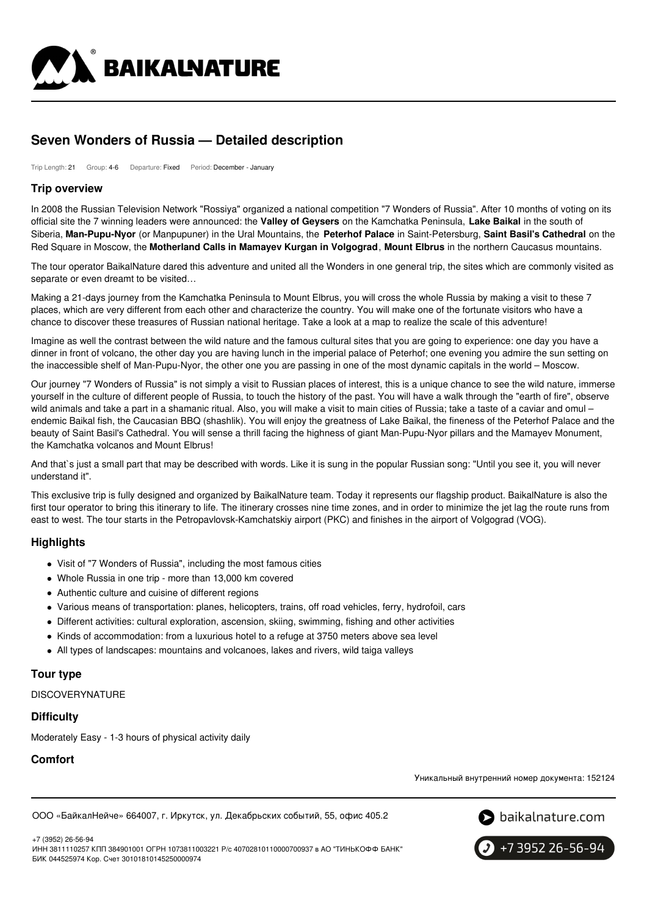

# **Seven Wonders of Russia — Detailed description**

Trip Length: 21 Group: 4-6 Departure: Fixed Period: December - January

### **Trip overview**

In 2008 the Russian Television Network "Rossiya" organized a national competition "7 Wonders of Russia". After 10 months of voting on its official site the 7 winning leaders were announced: the **Valley of Geysers** on the Kamchatka Peninsula, **Lake Baikal** in the south of Siberia, **Man-Pupu-Nyor** (or Manpupuner) in the Ural Mountains, the **Peterhof Palace** in Saint-Petersburg, **Saint Basil's Cathedral** on the Red Square in Moscow, the **Motherland Calls in Mamayev Kurgan in Volgograd**, **Mount Elbrus** in the northern Caucasus mountains.

The tour operator BaikalNature dared this adventure and united all the Wonders in one general trip, the sites which are commonly visited as separate or even dreamt to be visited…

Making a 21-days journey from the Kamchatka Peninsula to Mount Elbrus, you will cross the whole Russia by making a visit to these 7 places, which are very different from each other and characterize the country. You will make one of the fortunate visitors who have a chance to discover these treasures of Russian national heritage. Take a look at a map to realize the scale of this adventure!

Imagine as well the contrast between the wild nature and the famous cultural sites that you are going to experience: one day you have a dinner in front of volcano, the other day you are having lunch in the imperial palace of Peterhof; one evening you admire the sun setting on the inaccessible shelf of Man-Pupu-Nyor, the other one you are passing in one of the most dynamic capitals in the world – Moscow.

Our journey "7 Wonders of Russia" is not simply a visit to Russian places of interest, this is a unique chance to see the wild nature, immerse yourself in the culture of different people of Russia, to touch the history of the past. You will have a walk through the "earth of fire", observe wild animals and take a part in a shamanic ritual. Also, you will make a visit to main cities of Russia; take a taste of a caviar and omul endemic Baikal fish, the Caucasian BBQ (shashlik). You will enjoy the greatness of Lake Baikal, the fineness of the Peterhof Palace and the beauty of Saint Basil's Cathedral. You will sense a thrill facing the highness of giant Man-Pupu-Nyor pillars and the Mamayev Monument, the Kamchatka volcanos and Mount Elbrus!

And that`s just a small part that may be described with words. Like it is sung in the popular Russian song: "Until you see it, you will never understand it".

This exclusive trip is fully designed and organized by BaikalNature team. Today it represents our flagship product. BaikalNature is also the first tour operator to bring this itinerary to life. The itinerary crosses nine time zones, and in order to minimize the jet lag the route runs from east to west. The tour starts in the Petropavlovsk-Kamchatskiy airport (PKC) and finishes in the airport of Volgograd (VOG).

# **Highlights**

- Visit of "7 Wonders of Russia", including the most famous cities
- Whole Russia in one trip more than 13,000 km covered
- Authentic culture and cuisine of different regions
- Various means of transportation: planes, helicopters, trains, off road vehicles, ferry, hydrofoil, cars
- Different activities: cultural exploration, ascension, skiing, swimming, fishing and other activities
- Kinds of accommodation: from a luxurious hotel to a refuge at 3750 meters above sea level
- All types of landscapes: mountains and volcanoes, lakes and rivers, wild taiga valleys

# **Tour type**

**DISCOVERYNATURE** 

# **Difficulty**

Moderately Easy - 1-3 hours of physical activity daily

# **Comfort**

Уникальный внутренний номер документа: 152124

ООО «БайкалНейче» 664007, г. Иркутск, ул. Декабрьских событий, 55, офис 405.2





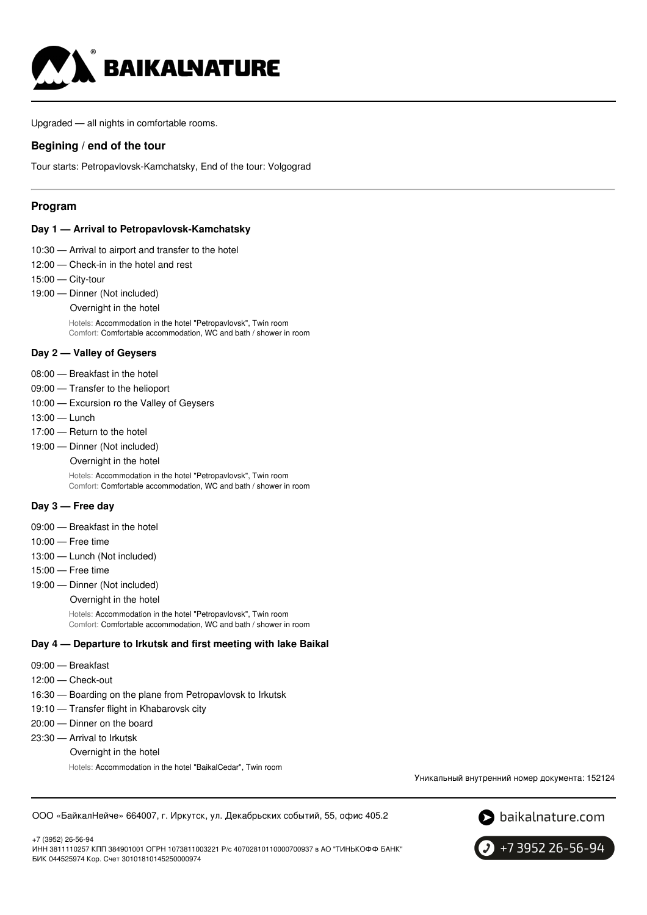

Upgraded — all nights in comfortable rooms.

# **Begining / end of the tour**

Tour starts: Petropavlovsk-Kamchatsky, End of the tour: Volgograd

# **Program**

#### **Day 1 — Arrival to Petropavlovsk-Kamchatsky**

- 10:30 Arrival to airport and transfer to the hotel
- 12:00 Check-in in the hotel and rest
- 15:00 City-tour
- 19:00 Dinner (Not included)
	- Overnight in the hotel

Hotels: Accommodation in the hotel "Petropavlovsk", Twin room Comfort: Comfortable accommodation, WC and bath / shower in room

### **Day 2 — Valley of Geysers**

- 08:00 Breakfast in the hotel
- 09:00 Transfer to the helioport
- 10:00 Excursion ro the Valley of Geysers
- 13:00 Lunch
- 17:00 Return to the hotel
- 19:00 Dinner (Not included)
	- Overnight in the hotel

Hotels: Accommodation in the hotel "Petropavlovsk", Twin room Comfort: Comfortable accommodation, WC and bath / shower in room

### **Day 3 — Free day**

- 09:00 Breakfast in the hotel
- 10:00 Free time
- 13:00 Lunch (Not included)
- 15:00 Free time
- 19:00 Dinner (Not included)

Overnight in the hotel

Hotels: Accommodation in the hotel "Petropavlovsk", Twin room Comfort: Comfortable accommodation, WC and bath / shower in room

### **Day 4 — Departure to Irkutsk and first meeting with lake Baikal**

- 09:00 Breakfast
- 12:00 Check-out
- 16:30 Boarding on the plane from Petropavlovsk to Irkutsk
- 19:10 Transfer flight in Khabarovsk city
- 20:00 Dinner on the board
- 23:30 Arrival to Irkutsk
	- Overnight in the hotel

Hotels: Accommodation in the hotel "BaikalCedar", Twin room

Уникальный внутренний номер документа: 152124

ООО «БайкалНейче» 664007, г. Иркутск, ул. Декабрьских событий, 55, офис 405.2

 $\bullet$  baikalnature.com



+7 3952 26-56-94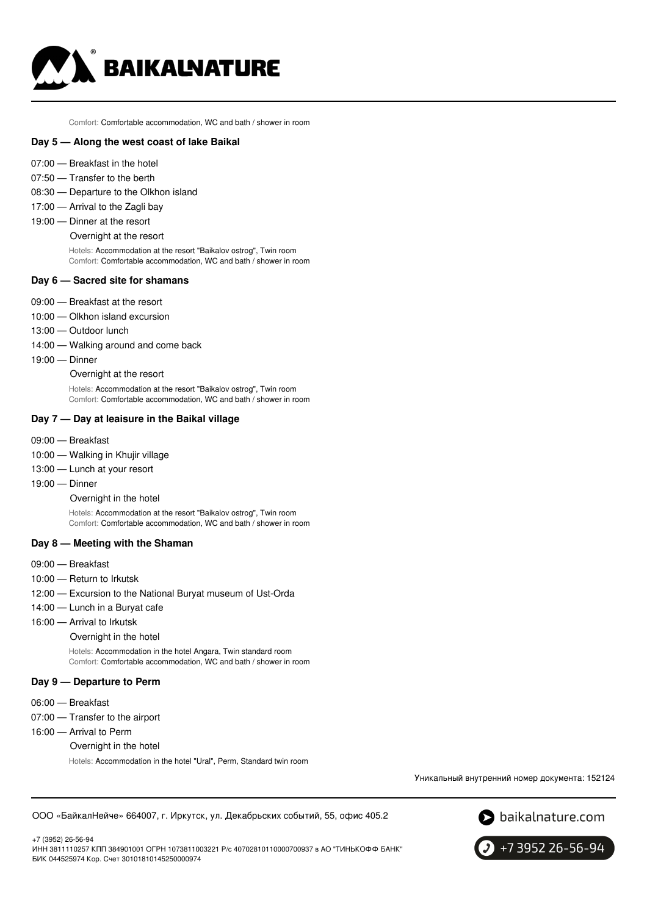

Comfort: Comfortable accommodation, WC and bath / shower in room

### **Day 5 — Along the west coast of lake Baikal**

- 07:00 Breakfast in the hotel
- 07:50 Transfer to the berth
- 08:30 Departure to the Olkhon island
- 17:00 Arrival to the Zagli bay
- 19:00 Dinner at the resort
	- Overnight at the resort

Hotels: Accommodation at the resort "Baikalov ostrog", Twin room Comfort: Comfortable accommodation, WC and bath / shower in room

#### **Day 6 — Sacred site for shamans**

- 09:00 Breakfast at the resort
- 10:00 Olkhon island excursion
- 13:00 Outdoor lunch
- 14:00 Walking around and come back
- 19:00 Dinner

Overnight at the resort

Hotels: Accommodation at the resort "Baikalov ostrog", Twin room Comfort: Comfortable accommodation, WC and bath / shower in room

#### **Day 7 — Day at leaisure in the Baikal village**

- 09:00 Breakfast
- 10:00 Walking in Khujir village
- 13:00 Lunch at your resort
- 19:00 Dinner

Overnight in the hotel

Hotels: Accommodation at the resort "Baikalov ostrog", Twin room Comfort: Comfortable accommodation, WC and bath / shower in room

### **Day 8 — Meeting with the Shaman**

- 09:00 Breakfast
- 10:00 Return to Irkutsk
- 12:00 Excursion to the National Buryat museum of Ust-Orda
- 14:00 Lunch in a Buryat cafe
- 16:00 Arrival to Irkutsk

Overnight in the hotel

Hotels: Accommodation in the hotel Angara, Twin standard room Comfort: Comfortable accommodation, WC and bath / shower in room

#### **Day 9 — Departure to Perm**

- 06:00 Breakfast
- 07:00 Transfer to the airport
- 16:00 Arrival to Perm
	- Overnight in the hotel

Hotels: Accommodation in the hotel "Ural", Perm, Standard twin room

Уникальный внутренний номер документа: 152124

ООО «БайкалНейче» 664007, г. Иркутск, ул. Декабрьских событий, 55, офис 405.2



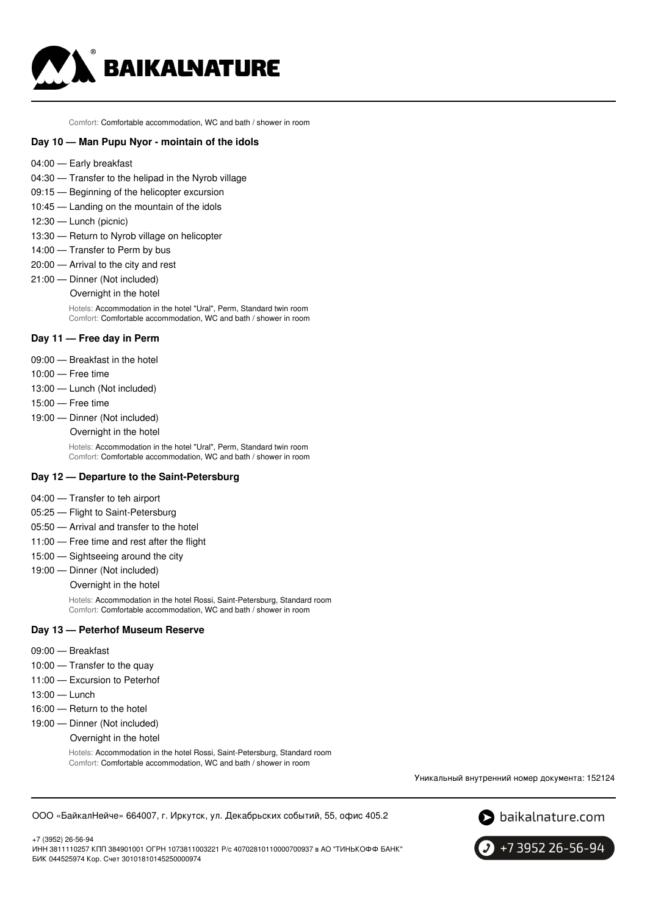

Comfort: Comfortable accommodation, WC and bath / shower in room

# **Day 10 — Man Pupu Nyor - mointain of the idols**

- 04:00 Early breakfast
- 04:30 Transfer to the helipad in the Nyrob village
- 09:15 Beginning of the helicopter excursion
- 10:45 Landing on the mountain of the idols
- 12:30 Lunch (picnic)
- 13:30 Return to Nyrob village on helicopter
- 14:00 Transfer to Perm by bus
- 20:00 Arrival to the city and rest
- 21:00 Dinner (Not included)
	- Overnight in the hotel

Hotels: Accommodation in the hotel "Ural", Perm, Standard twin room Comfort: Comfortable accommodation, WC and bath / shower in room

#### **Day 11 — Free day in Perm**

- 09:00 Breakfast in the hotel
- 10:00 Free time
- 13:00 Lunch (Not included)
- 15:00 Free time
- 19:00 Dinner (Not included)
	- Overnight in the hotel

Hotels: Accommodation in the hotel "Ural", Perm, Standard twin room Comfort: Comfortable accommodation, WC and bath / shower in room

#### **Day 12 — Departure to the Saint-Petersburg**

- 04:00 Transfer to teh airport
- 05:25 Flight to Saint-Petersburg
- 05:50 Arrival and transfer to the hotel
- 11:00 Free time and rest after the flight
- 15:00 Sightseeing around the city
- 19:00 Dinner (Not included)

Overnight in the hotel

Hotels: Accommodation in the hotel Rossi, Saint-Petersburg, Standard room Comfort: Comfortable accommodation, WC and bath / shower in room

#### **Day 13 — Peterhof Museum Reserve**

- 09:00 Breakfast
- 10:00 Transfer to the quay
- 11:00 Excursion to Peterhof
- 13:00 Lunch
- 16:00 Return to the hotel
- 19:00 Dinner (Not included)

Overnight in the hotel

Hotels: Accommodation in the hotel Rossi, Saint-Petersburg, Standard room Comfort: Comfortable accommodation, WC and bath / shower in room

Уникальный внутренний номер документа: 152124

#### ООО «БайкалНейче» 664007, г. Иркутск, ул. Декабрьских событий, 55, офис 405.2



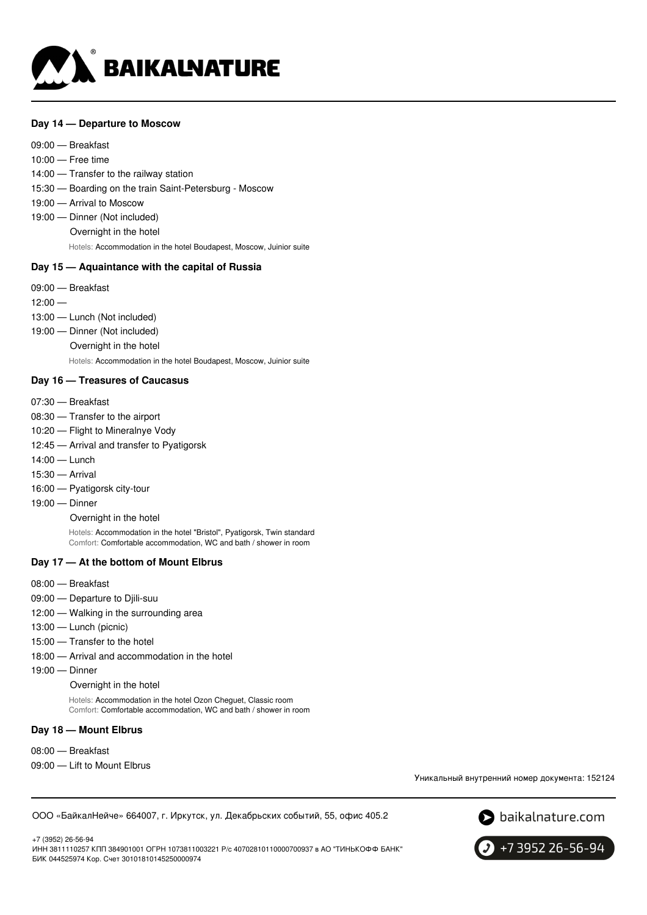

### **Day 14 — Departure to Moscow**

09:00 — Breakfast 10:00 — Free time 14:00 — Transfer to the railway station 15:30 — Boarding on the train Saint-Petersburg - Moscow 19:00 — Arrival to Moscow 19:00 — Dinner (Not included) Overnight in the hotel Hotels: Accommodation in the hotel Boudapest, Moscow, Juinior suite

# **Day 15 — Aquaintance with the capital of Russia**

- 09:00 Breakfast
- $12:00 -$
- 13:00 Lunch (Not included)
- 19:00 Dinner (Not included)
	- Overnight in the hotel

Hotels: Accommodation in the hotel Boudapest, Moscow, Juinior suite

### **Day 16 — Treasures of Caucasus**

- 07:30 Breakfast
- 08:30 Transfer to the airport
- 10:20 Flight to Mineralnye Vody
- 12:45 Arrival and transfer to Pyatigorsk
- 14:00 Lunch
- 15:30 Arrival
- 16:00 Pyatigorsk city-tour
- 19:00 Dinner

Overnight in the hotel

Hotels: Accommodation in the hotel "Bristol", Pyatigorsk, Twin standard Comfort: Comfortable accommodation, WC and bath / shower in room

#### **Day 17 — At the bottom of Mount Elbrus**

- 08:00 Breakfast
- 09:00 Departure to Diili-suu
- 12:00 Walking in the surrounding area
- 13:00 Lunch (picnic)
- 15:00 Transfer to the hotel
- 18:00 Arrival and accommodation in the hotel
- 19:00 Dinner

Overnight in the hotel

Hotels: Accommodation in the hotel Ozon Cheguet, Classic room Comfort: Comfortable accommodation, WC and bath / shower in room

# **Day 18 — Mount Elbrus**

- 08:00 Breakfast
- 09:00 Lift to Mount Elbrus

Уникальный внутренний номер документа: 152124

ООО «БайкалНейче» 664007, г. Иркутск, ул. Декабрьских событий, 55, офис 405.2

 $\bullet$  baikalnature.com

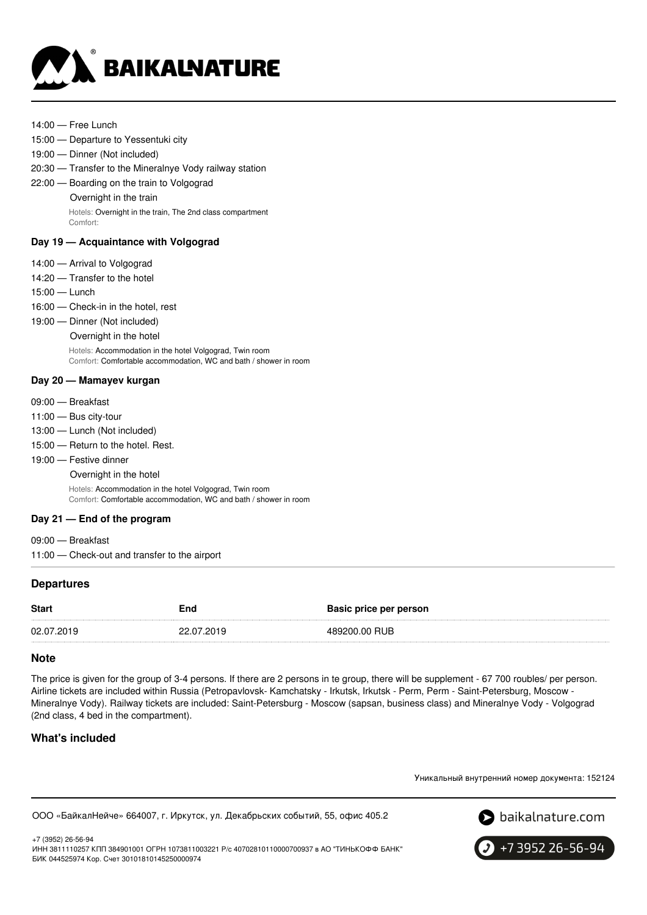

- 14:00 Free Lunch
- 15:00 Departure to Yessentuki city
- 19:00 Dinner (Not included)
- 20:30 Transfer to the Mineralnye Vody railway station
- 22:00 Boarding on the train to Volgograd Overnight in the train

Hotels: Overnight in the train, The 2nd class compartment

Comfort:

# **Day 19 — Acquaintance with Volgograd**

- 14:00 Arrival to Volgograd
- 14:20 Transfer to the hotel
- 15:00 Lunch
- 16:00 Check-in in the hotel, rest
- 19:00 Dinner (Not included)
	- Overnight in the hotel

Hotels: Accommodation in the hotel Volgograd, Twin room Comfort: Comfortable accommodation, WC and bath / shower in room

# **Day 20 — Mamayev kurgan**

- 09:00 Breakfast
- 11:00 Bus city-tour
- 13:00 Lunch (Not included)
- 15:00 Return to the hotel. Rest.
- 19:00 Festive dinner
	- Overnight in the hotel

Hotels: Accommodation in the hotel Volgograd, Twin room Comfort: Comfortable accommodation, WC and bath / shower in room

# **Day 21 — End of the program**

09:00 — Breakfast 11:00 — Check-out and transfer to the airport

# **Departures**

| 489200.00 RUB<br>02.07.2019<br>22.07.2019 | <b>Start</b> | End | Basic price per person |
|-------------------------------------------|--------------|-----|------------------------|
|                                           |              |     |                        |

# **Note**

The price is given for the group of 3-4 persons. If there are 2 persons in te group, there will be supplement - 67 700 roubles/ per person. Airline tickets are included within Russia (Petropavlovsk- Kamchatsky - Irkutsk, Irkutsk - Perm, Perm - Saint-Petersburg, Moscow - Mineralnye Vody). Railway tickets are included: Saint-Petersburg - Moscow (sapsan, business class) and Mineralnye Vody - Volgograd (2nd class, 4 bed in the compartment).

# **What's included**

Уникальный внутренний номер документа: 152124

ООО «БайкалНейче» 664007, г. Иркутск, ул. Декабрьских событий, 55, офис 405.2



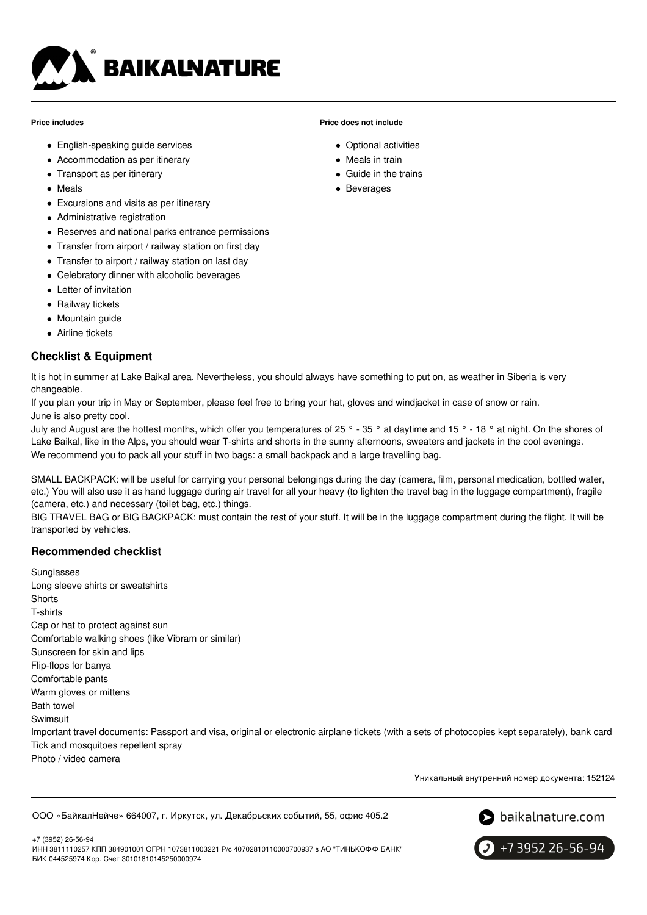

#### **Price includes**

- English-speaking guide services
- Accommodation as per itinerary
- Transport as per itinerary
- Meals
- Excursions and visits as per itinerary
- Administrative registration
- Reserves and national parks entrance permissions
- Transfer from airport / railway station on first day
- Transfer to airport / railway station on last day
- Celebratory dinner with alcoholic beverages
- Letter of invitation
- Railway tickets
- Mountain quide
- Airline tickets

# **Checklist & Equipment**

It is hot in summer at Lake Baikal area. Nevertheless, you should always have something to put on, as weather in Siberia is very changeable.

If you plan your trip in May or September, please feel free to bring your hat, gloves and windjacket in case of snow or rain. June is also pretty cool.

July and August are the hottest months, which offer you temperatures of 25 ° - 35 ° at daytime and 15 ° - 18 ° at night. On the shores of Lake Baikal, like in the Alps, you should wear T-shirts and shorts in the sunny afternoons, sweaters and jackets in the cool evenings. We recommend you to pack all your stuff in two bags: a small backpack and a large travelling bag.

**Price does not include**

Optional activities • Meals in train Guide in the trains • Beverages

SMALL BACKPACK: will be useful for carrying your personal belongings during the day (camera, film, personal medication, bottled water, etc.) You will also use it as hand luggage during air travel for all your heavy (to lighten the travel bag in the luggage compartment), fragile (camera, etc.) and necessary (toilet bag, etc.) things.

BIG TRAVEL BAG or BIG BACKPACK: must contain the rest of your stuff. It will be in the luggage compartment during the flight. It will be transported by vehicles.

# **Recommended checklist**

**Sunglasses** Long sleeve shirts or sweatshirts **Shorts** T-shirts Cap or hat to protect against sun Comfortable walking shoes (like Vibram or similar) Sunscreen for skin and lips Flip-flops for banya Comfortable pants Warm gloves or mittens Bath towel Swimsuit Important travel documents: Passport and visa, original or electronic airplane tickets (with a sets of photocopies kept separately), bank card Tick and mosquitoes repellent spray

Photo / video camera

Уникальный внутренний номер документа: 152124

ООО «БайкалНейче» 664007, г. Иркутск, ул. Декабрьских событий, 55, офис 405.2





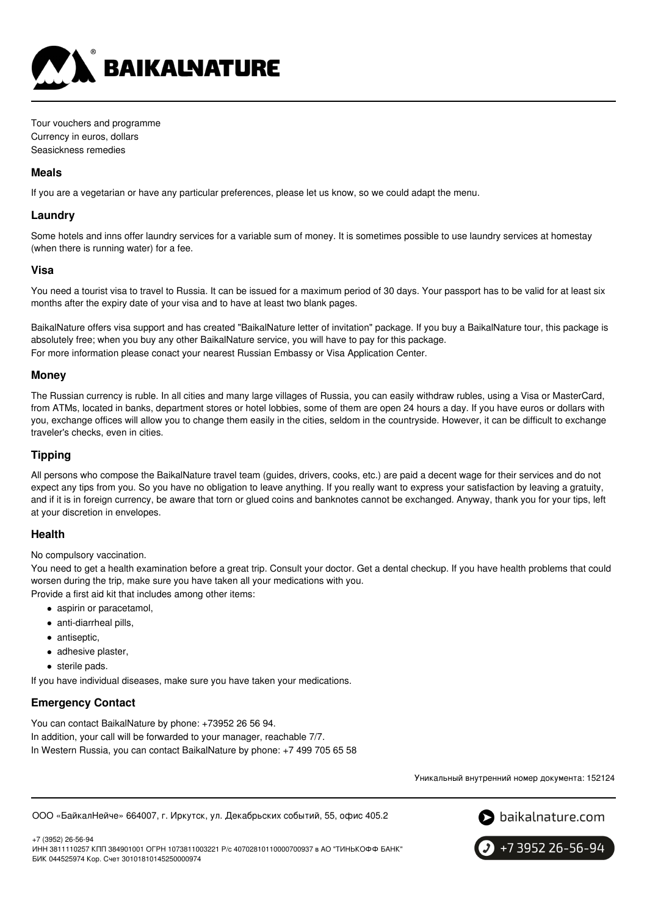

Tour vouchers and programme Currency in euros, dollars Seasickness remedies

### **Meals**

If you are a vegetarian or have any particular preferences, please let us know, so we could adapt the menu.

# **Laundry**

Some hotels and inns offer laundry services for a variable sum of money. It is sometimes possible to use laundry services at homestay (when there is running water) for a fee.

### **Visa**

You need a tourist visa to travel to Russia. It can be issued for a maximum period of 30 days. Your passport has to be valid for at least six months after the expiry date of your visa and to have at least two blank pages.

BaikalNature offers visa support and has created "BaikalNature letter of invitation" package. If you buy a BaikalNature tour, this package is absolutely free; when you buy any other BaikalNature service, you will have to pay for this package. For more information please conact your nearest Russian Embassy or Visa Application Center.

# **Money**

The Russian currency is ruble. In all cities and many large villages of Russia, you can easily withdraw rubles, using a Visa or MasterCard, from ATMs, located in banks, department stores or hotel lobbies, some of them are open 24 hours a day. If you have euros or dollars with you, exchange offices will allow you to change them easily in the cities, seldom in the countryside. However, it can be difficult to exchange traveler's checks, even in cities.

# **Tipping**

All persons who compose the BaikalNature travel team (guides, drivers, cooks, etc.) are paid a decent wage for their services and do not expect any tips from you. So you have no obligation to leave anything. If you really want to express your satisfaction by leaving a gratuity, and if it is in foreign currency, be aware that torn or glued coins and banknotes cannot be exchanged. Anyway, thank you for your tips, left at your discretion in envelopes.

# **Health**

No compulsory vaccination.

You need to get a health examination before a great trip. Consult your doctor. Get a dental checkup. If you have health problems that could worsen during the trip, make sure you have taken all your medications with you.

Provide a first aid kit that includes among other items:

- aspirin or paracetamol,
- anti-diarrheal pills.
- antiseptic,
- adhesive plaster,
- sterile pads.

If you have individual diseases, make sure you have taken your medications.

# **Emergency Contact**

You can contact BaikalNature by phone: +73952 26 56 94. In addition, your call will be forwarded to your manager, reachable 7/7. In Western Russia, you can contact BaikalNature by phone: +7 499 705 65 58

Уникальный внутренний номер документа: 152124

ООО «БайкалНейче» 664007, г. Иркутск, ул. Декабрьских событий, 55, офис 405.2